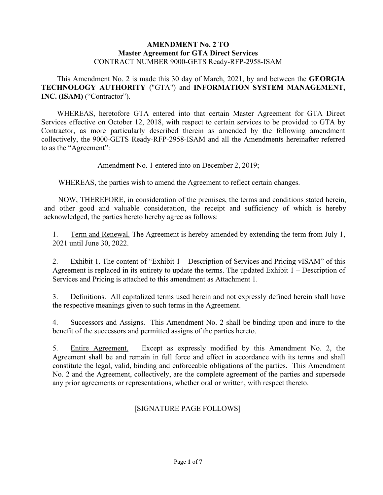#### **AMENDMENT No. 2 TO Master Agreement for GTA Direct Services** CONTRACT NUMBER 9000-GETS Ready-RFP-2958-ISAM

This Amendment No. 2 is made this 30 day of March, 2021, by and between the **GEORGIA TECHNOLOGY AUTHORITY** ("GTA") and **INFORMATION SYSTEM MANAGEMENT, INC. (ISAM)** ("Contractor").

WHEREAS, heretofore GTA entered into that certain Master Agreement for GTA Direct Services effective on October 12, 2018, with respect to certain services to be provided to GTA by Contractor, as more particularly described therein as amended by the following amendment collectively, the 9000-GETS Ready-RFP-2958-ISAM and all the Amendments hereinafter referred to as the "Agreement":

Amendment No. 1 entered into on December 2, 2019;

WHEREAS, the parties wish to amend the Agreement to reflect certain changes.

NOW, THEREFORE, in consideration of the premises, the terms and conditions stated herein, and other good and valuable consideration, the receipt and sufficiency of which is hereby acknowledged, the parties hereto hereby agree as follows:

1. Term and Renewal. The Agreement is hereby amended by extending the term from July 1, 2021 until June 30, 2022.

2. Exhibit 1. The content of "Exhibit 1 – Description of Services and Pricing vISAM" of this Agreement is replaced in its entirety to update the terms. The updated Exhibit 1 – Description of Services and Pricing is attached to this amendment as Attachment 1.

3. Definitions. All capitalized terms used herein and not expressly defined herein shall have the respective meanings given to such terms in the Agreement.

4. Successors and Assigns. This Amendment No. 2 shall be binding upon and inure to the benefit of the successors and permitted assigns of the parties hereto.

5. Entire Agreement. Except as expressly modified by this Amendment No. 2, the Agreement shall be and remain in full force and effect in accordance with its terms and shall constitute the legal, valid, binding and enforceable obligations of the parties. This Amendment No. 2 and the Agreement, collectively, are the complete agreement of the parties and supersede any prior agreements or representations, whether oral or written, with respect thereto.

## [SIGNATURE PAGE FOLLOWS]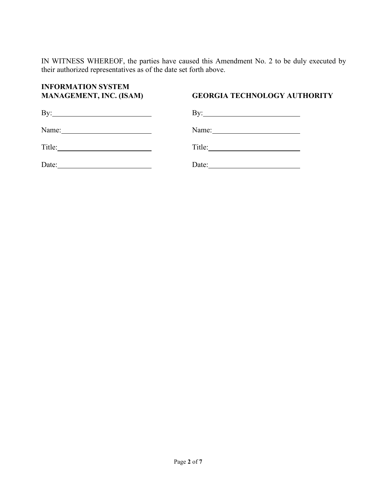IN WITNESS WHEREOF, the parties have caused this Amendment No. 2 to be duly executed by their authorized representatives as of the date set forth above.

# **INFORMATION SYSTEM**

## **MANAGEMENT, INC. (ISAM) GEORGIA TECHNOLOGY AUTHORITY**

| By:    | By:    |
|--------|--------|
| Name:  | Name:  |
| Title: | Title: |
| Date:  | Date:  |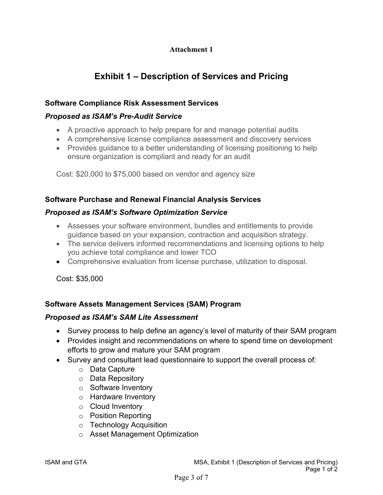## **Attachment 1**

## **Exhibit 1 – Description of Services and Pricing**

## **Software Compliance Risk Assessment Services**

## *Proposed as ISAM's Pre-Audit Service*

- A proactive approach to help prepare for and manage potential audits
- A comprehensive license compliance assessment and discovery services
- Provides quidance to a better understanding of licensing positioning to help ensure organization is compliant and ready for an audit

Cost: \$20,000 to \$75,000 based on vendor and agency size

## **Software Purchase and Renewal Financial Analysis Services**

## *Proposed as ISAM's Software Optimization Service*

- Assesses your software environment, bundles and entitlements to provide guidance based on your expansion, contraction and acquisition strategy.
- The service delivers informed recommendations and licensing options to help you achieve total compliance and lower TCO
- Comprehensive evaluation from license purchase, utilization to disposal.

Cost: \$35,000

## **Software Assets Management Services (SAM) Program**

### *Proposed as ISAM's SAM Lite Assessment*

- Survey process to help define an agency's level of maturity of their SAM program
- Provides insight and recommendations on where to spend time on development efforts to grow and mature your SAM program
- Survey and consultant lead questionnaire to support the overall process of:
	- o Data Capture
	- o Data Repository
	- o Software Inventory
	- o Hardware Inventory
	- o Cloud Inventory
	- o Position Reporting
	- o Technology Acquisition
	- o Asset Management Optimization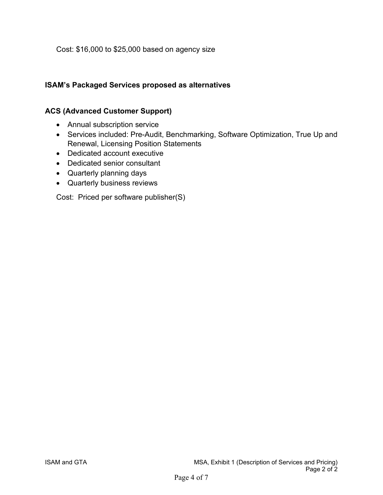Cost: \$16,000 to \$25,000 based on agency size

## **ISAM's Packaged Services proposed as alternatives**

## **ACS (Advanced Customer Support)**

- Annual subscription service
- Services included: Pre-Audit, Benchmarking, Software Optimization, True Up and Renewal, Licensing Position Statements
- Dedicated account executive
- Dedicated senior consultant
- Quarterly planning days
- Quarterly business reviews

Cost: Priced per software publisher(S)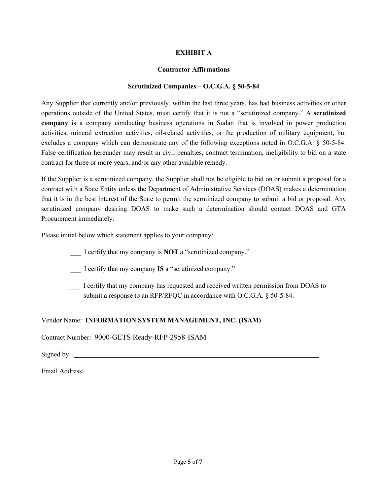#### **EXHIBIT A**

#### **Contractor Affirmations**

#### **Scrutinized Companies – O.C.G.A. § 50-5-84**

Any Supplier that currently and/or previously, within the last three years, has had business activities or other operations outside of the United States, must certify that it is not a "scrutinized company." A **scrutinized company** is a company conducting business operations in Sudan that is involved in power production activities, mineral extraction activities, oil-related activities, or the production of military equipment, but excludes a company which can demonstrate any of the following exceptions noted in O.C.G.A. § 50-5-84. False certification hereunder may result in civil penalties, contract termination, ineligibility to bid on a state contract for three or more years, and/or any other available remedy.

If the Supplier is a scrutinized company, the Supplier shall not be eligible to bid on or submit a proposal for a contract with a State Entity unless the Department of Administrative Services (DOAS) makes a determination that it is in the best interest of the State to permit the scrutinized company to submit a bid or proposal. Any scrutinized company desiring DOAS to make such a determination should contact DOAS and GTA Procurement immediately.

Please initial below which statement applies to your company:

\_\_\_ I certify that my company is **NOT** a "scrutinized company."

\_\_\_ I certify that my company **IS** a "scrutinized company."

\_\_\_ I certify that my company has requested and received written permission from DOAS to submit a response to an RFP/RFQC in accordance with O.C.G.A. § 50-5-84.

#### Vendor Name: **INFORMATION SYSTEM MANAGEMENT, INC. (ISAM)**

Contract Number: 9000-GETS Ready-RFP-2958-ISAM

Signed by:  $\qquad \qquad$ 

Email Address: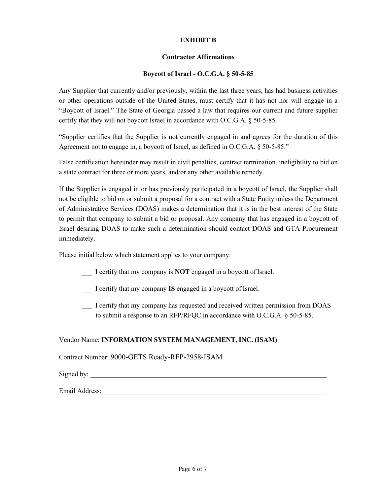#### **EXHIBIT B**

#### **Contractor Affirmations**

#### **Boycott of Israel - O.C.G.A. § 50-5-85**

Any Supplier that currently and/or previously, within the last three years, has had business activities or other operations outside of the United States, must certify that it has not nor will engage in a "Boycott of Israel." The State of Georgia passed a law that requires our current and future supplier certify that they will not boycott Israel in accordance with O.C.G.A. § 50-5-85.

"Supplier certifies that the Supplier is not currently engaged in and agrees for the duration of this Agreement not to engage in, a boycott of Israel, as defined in O.C.G.A. § 50-5-85."

False certification hereunder may result in civil penalties, contract termination, ineligibility to bid on a state contract for three or more years, and/or any other available remedy.

If the Supplier is engaged in or has previously participated in a boycott of Israel, the Supplier shall not be eligible to bid on or submit a proposal for a contract with a State Entity unless the Department of Administrative Services (DOAS) makes a determination that it is in the best interest of the State to permit that company to submit a bid or proposal. Any company that has engaged in a boycott of Israel desiring DOAS to make such a determination should contact DOAS and GTA Procurement immediately.

Please initial below which statement applies to your company:

- \_\_\_ I certify that my company is **NOT** engaged in a boycott of Israel.
- \_\_\_ I certify that my company **IS** engaged in a boycott of Israel.
- \_\_\_ I certify that my company has requested and received written permission from DOAS to submit a response to an RFP/RFQC in accordance with O.C.G.A. § 50-5-85.

#### Vendor Name: **INFORMATION SYSTEM MANAGEMENT, INC. (ISAM)**

Contract Number: 9000-GETS Ready-RFP-2958-ISAM

Signed by:

Email Address: